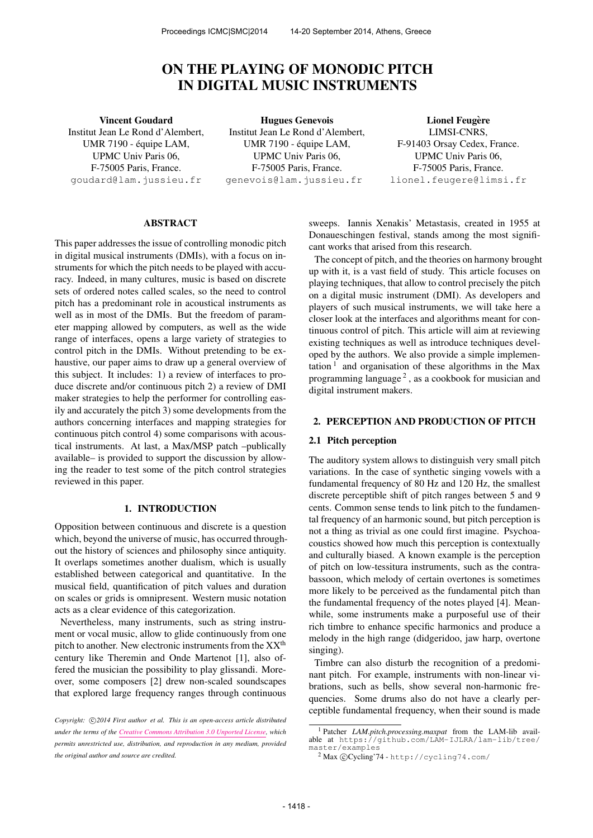# ON THE PLAYING OF MONODIC PITCH IN DIGITAL MUSIC INSTRUMENTS

Vincent Goudard Institut Jean Le Rond d'Alembert, UMR 7190 - équipe LAM, UPMC Univ Paris 06, F-75005 Paris, France. [goudard@lam.jussieu.fr](mailto:goudard@lam.jussieu.fr)

Hugues Genevois Institut Jean Le Rond d'Alembert, UMR 7190 - équipe LAM, UPMC Univ Paris 06, F-75005 Paris, France. [genevois@lam.jussieu.fr](mailto:genevois@lam.jussieu.fr )

**Lionel Feugère** LIMSI-CNRS, F-91403 Orsay Cedex, France. UPMC Univ Paris 06, F-75005 Paris, France. [lionel.feugere@limsi.fr](mailto:lionel.feugere@limsi.fr )

#### ABSTRACT

This paper addresses the issue of controlling monodic pitch in digital musical instruments (DMIs), with a focus on instruments for which the pitch needs to be played with accuracy. Indeed, in many cultures, music is based on discrete sets of ordered notes called scales, so the need to control pitch has a predominant role in acoustical instruments as well as in most of the DMIs. But the freedom of parameter mapping allowed by computers, as well as the wide range of interfaces, opens a large variety of strategies to control pitch in the DMIs. Without pretending to be exhaustive, our paper aims to draw up a general overview of this subject. It includes: 1) a review of interfaces to produce discrete and/or continuous pitch 2) a review of DMI maker strategies to help the performer for controlling easily and accurately the pitch 3) some developments from the authors concerning interfaces and mapping strategies for continuous pitch control 4) some comparisons with acoustical instruments. At last, a Max/MSP patch –publically available– is provided to support the discussion by allowing the reader to test some of the pitch control strategies reviewed in this paper.

# 1. INTRODUCTION

Opposition between continuous and discrete is a question which, beyond the universe of music, has occurred throughout the history of sciences and philosophy since antiquity. It overlaps sometimes another dualism, which is usually established between categorical and quantitative. In the musical field, quantification of pitch values and duration on scales or grids is omnipresent. Western music notation acts as a clear evidence of this categorization.

Nevertheless, many instruments, such as string instrument or vocal music, allow to glide continuously from one pitch to another. New electronic instruments from the  $XX<sup>th</sup>$ century like Theremin and Onde Martenot [1], also offered the musician the possibility to play glissandi. Moreover, some composers [2] drew non-scaled soundscapes that explored large frequency ranges through continuous sweeps. Iannis Xenakis' Metastasis, created in 1955 at Donaueschingen festival, stands among the most significant works that arised from this research.

The concept of pitch, and the theories on harmony brought up with it, is a vast field of study. This article focuses on playing techniques, that allow to control precisely the pitch on a digital music instrument (DMI). As developers and players of such musical instruments, we will take here a closer look at the interfaces and algorithms meant for continuous control of pitch. This article will aim at reviewing existing techniques as well as introduce techniques developed by the authors. We also provide a simple implementation<sup>1</sup> and organisation of these algorithms in the Max programming language<sup>2</sup>, as a cookbook for musician and digital instrument makers.

# 2. PERCEPTION AND PRODUCTION OF PITCH

### 2.1 Pitch perception

The auditory system allows to distinguish very small pitch variations. In the case of synthetic singing vowels with a fundamental frequency of 80 Hz and 120 Hz, the smallest discrete perceptible shift of pitch ranges between 5 and 9 cents. Common sense tends to link pitch to the fundamental frequency of an harmonic sound, but pitch perception is not a thing as trivial as one could first imagine. Psychoacoustics showed how much this perception is contextually and culturally biased. A known example is the perception of pitch on low-tessitura instruments, such as the contrabassoon, which melody of certain overtones is sometimes more likely to be perceived as the fundamental pitch than the fundamental frequency of the notes played [4]. Meanwhile, some instruments make a purposeful use of their rich timbre to enhance specific harmonics and produce a melody in the high range (didgeridoo, jaw harp, overtone singing).

Timbre can also disturb the recognition of a predominant pitch. For example, instruments with non-linear vibrations, such as bells, show several non-harmonic frequencies. Some drums also do not have a clearly perceptible fundamental frequency, when their sound is made

Copyright:  $\bigcirc$ 2014 First author et al. This is an open-access article distributed *under the terms of the [Creative Commons Attribution 3.0 Unported License,](http://creativecommons.org/licenses/by/3.0/) which permits unrestricted use, distribution, and reproduction in any medium, provided the original author and source are credited.*

<sup>1</sup> Patcher *LAM.pitch.processing.maxpat* from the LAM-lib available at [https://github.com/LAM-IJLRA/lam-lib/tree/](https://github.com/LAM-IJLRA/lam-lib/tree/master/examples) [master/examples](https://github.com/LAM-IJLRA/lam-lib/tree/master/examples)

 $2$  Max  $\circledc$  Cycling'74 - <http://cycling74.com/>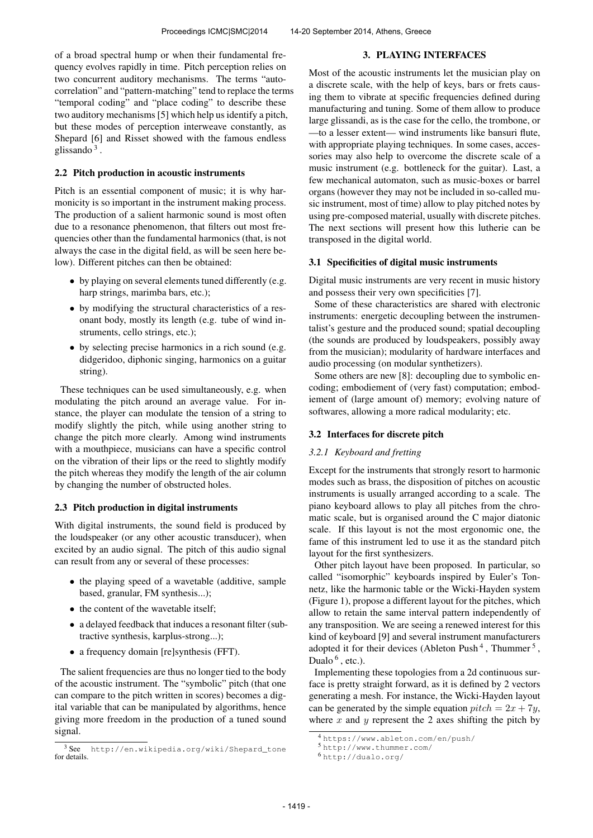of a broad spectral hump or when their fundamental frequency evolves rapidly in time. Pitch perception relies on two concurrent auditory mechanisms. The terms "autocorrelation" and "pattern-matching" tend to replace the terms "temporal coding" and "place coding" to describe these two auditory mechanisms [5] which help us identify a pitch, but these modes of perception interweave constantly, as Shepard [6] and Risset showed with the famous endless glissando<sup>3</sup>.

# 2.2 Pitch production in acoustic instruments

Pitch is an essential component of music; it is why harmonicity is so important in the instrument making process. The production of a salient harmonic sound is most often due to a resonance phenomenon, that filters out most frequencies other than the fundamental harmonics (that, is not always the case in the digital field, as will be seen here below). Different pitches can then be obtained:

- by playing on several elements tuned differently (e.g. harp strings, marimba bars, etc.);
- by modifying the structural characteristics of a resonant body, mostly its length (e.g. tube of wind instruments, cello strings, etc.);
- by selecting precise harmonics in a rich sound (e.g. didgeridoo, diphonic singing, harmonics on a guitar string).

These techniques can be used simultaneously, e.g. when modulating the pitch around an average value. For instance, the player can modulate the tension of a string to modify slightly the pitch, while using another string to change the pitch more clearly. Among wind instruments with a mouthpiece, musicians can have a specific control on the vibration of their lips or the reed to slightly modify the pitch whereas they modify the length of the air column by changing the number of obstructed holes.

# 2.3 Pitch production in digital instruments

With digital instruments, the sound field is produced by the loudspeaker (or any other acoustic transducer), when excited by an audio signal. The pitch of this audio signal can result from any or several of these processes:

- the playing speed of a wavetable (additive, sample based, granular, FM synthesis...);
- the content of the wavetable itself;
- a delayed feedback that induces a resonant filter (subtractive synthesis, karplus-strong...);
- a frequency domain [re]synthesis (FFT).

The salient frequencies are thus no longer tied to the body of the acoustic instrument. The "symbolic" pitch (that one can compare to the pitch written in scores) becomes a digital variable that can be manipulated by algorithms, hence giving more freedom in the production of a tuned sound signal.

Most of the acoustic instruments let the musician play on a discrete scale, with the help of keys, bars or frets causing them to vibrate at specific frequencies defined during manufacturing and tuning. Some of them allow to produce large glissandi, as is the case for the cello, the trombone, or —to a lesser extent— wind instruments like bansuri flute, with appropriate playing techniques. In some cases, accessories may also help to overcome the discrete scale of a music instrument (e.g. bottleneck for the guitar). Last, a few mechanical automaton, such as music-boxes or barrel organs (however they may not be included in so-called music instrument, most of time) allow to play pitched notes by using pre-composed material, usually with discrete pitches. The next sections will present how this lutherie can be transposed in the digital world.

3. PLAYING INTERFACES

# 3.1 Specificities of digital music instruments

Digital music instruments are very recent in music history and possess their very own specificities [7].

Some of these characteristics are shared with electronic instruments: energetic decoupling between the instrumentalist's gesture and the produced sound; spatial decoupling (the sounds are produced by loudspeakers, possibly away from the musician); modularity of hardware interfaces and audio processing (on modular synthetizers).

Some others are new [8]: decoupling due to symbolic encoding; embodiement of (very fast) computation; embodiement of (large amount of) memory; evolving nature of softwares, allowing a more radical modularity; etc.

# 3.2 Interfaces for discrete pitch

# *3.2.1 Keyboard and fretting*

Except for the instruments that strongly resort to harmonic modes such as brass, the disposition of pitches on acoustic instruments is usually arranged according to a scale. The piano keyboard allows to play all pitches from the chromatic scale, but is organised around the C major diatonic scale. If this layout is not the most ergonomic one, the fame of this instrument led to use it as the standard pitch layout for the first synthesizers.

Other pitch layout have been proposed. In particular, so called "isomorphic" keyboards inspired by Euler's Tonnetz, like the harmonic table or the Wicki-Hayden system (Figure 1), propose a different layout for the pitches, which allow to retain the same interval pattern independently of any transposition. We are seeing a renewed interest for this kind of keyboard [9] and several instrument manufacturers adopted it for their devices (Ableton Push<sup>4</sup>, Thummer<sup>5</sup>, Dualo  $<sup>6</sup>$ , etc.).</sup>

Implementing these topologies from a 2d continuous surface is pretty straight forward, as it is defined by 2 vectors generating a mesh. For instance, the Wicki-Hayden layout can be generated by the simple equation  $pitch = 2x + 7y$ , where  $x$  and  $y$  represent the 2 axes shifting the pitch by

<sup>3</sup> See [http://en.wikipedia.org/wiki/Shepard\\_tone](http://en.wikipedia.org/wiki/Shepard_tone) for details.

<sup>4</sup> <https://www.ableton.com/en/push/>

<sup>5</sup> <http://www.thummer.com/>

<sup>6</sup> <http://dualo.org/>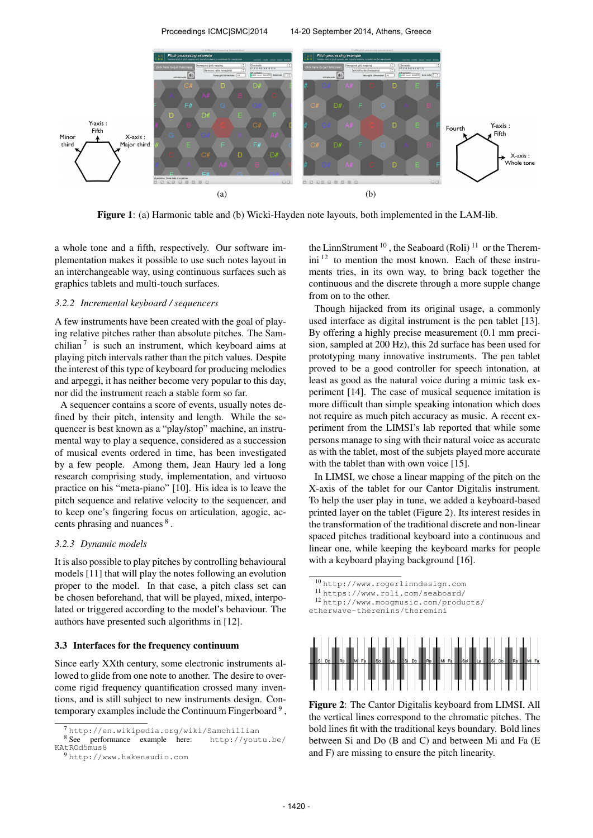

Figure 1: (a) Harmonic table and (b) Wicki-Hayden note layouts, both implemented in the LAM-lib.

a whole tone and a fifth, respectively. Our software implementation makes it possible to use such notes layout in an interchangeable way, using continuous surfaces such as graphics tablets and multi-touch surfaces.

## *3.2.2 Incremental keyboard / sequencers*

A few instruments have been created with the goal of playing relative pitches rather than absolute pitches. The Samchilian<sup>7</sup> is such an instrument, which keyboard aims at playing pitch intervals rather than the pitch values. Despite the interest of this type of keyboard for producing melodies and arpeggi, it has neither become very popular to this day, nor did the instrument reach a stable form so far.

A sequencer contains a score of events, usually notes defined by their pitch, intensity and length. While the sequencer is best known as a "play/stop" machine, an instrumental way to play a sequence, considered as a succession of musical events ordered in time, has been investigated by a few people. Among them, Jean Haury led a long research comprising study, implementation, and virtuoso practice on his "meta-piano" [10]. His idea is to leave the pitch sequence and relative velocity to the sequencer, and to keep one's fingering focus on articulation, agogic, accents phrasing and nuances  $8$ .

# *3.2.3 Dynamic models*

It is also possible to play pitches by controlling behavioural models [11] that will play the notes following an evolution proper to the model. In that case, a pitch class set can be chosen beforehand, that will be played, mixed, interpolated or triggered according to the model's behaviour. The authors have presented such algorithms in [12].

# 3.3 Interfaces for the frequency continuum

Since early XXth century, some electronic instruments allowed to glide from one note to another. The desire to overcome rigid frequency quantification crossed many inventions, and is still subject to new instruments design. Contemporary examples include the Continuum Fingerboard  $9$ ,

the LinnStrument<sup>10</sup>, the Seaboard (Roli)<sup>11</sup> or the Theremini <sup>12</sup> to mention the most known. Each of these instruments tries, in its own way, to bring back together the continuous and the discrete through a more supple change from on to the other.

Though hijacked from its original usage, a commonly used interface as digital instrument is the pen tablet [13]. By offering a highly precise measurement (0.1 mm precision, sampled at 200 Hz), this 2d surface has been used for prototyping many innovative instruments. The pen tablet proved to be a good controller for speech intonation, at least as good as the natural voice during a mimic task experiment [14]. The case of musical sequence imitation is more difficult than simple speaking intonation which does not require as much pitch accuracy as music. A recent experiment from the LIMSI's lab reported that while some persons manage to sing with their natural voice as accurate as with the tablet, most of the subjets played more accurate with the tablet than with own voice [15].

In LIMSI, we chose a linear mapping of the pitch on the X-axis of the tablet for our Cantor Digitalis instrument. To help the user play in tune, we added a keyboard-based printed layer on the tablet (Figure 2). Its interest resides in the transformation of the traditional discrete and non-linear spaced pitches traditional keyboard into a continuous and linear one, while keeping the keyboard marks for people with a keyboard playing background [16].

 <http://www.rogerlinndesign.com> <https://www.roli.com/seaboard/> [http://www.moogmusic.com/products/](http://www.moogmusic.com/products/etherwave-theremins/theremini) [etherwave-theremins/theremini](http://www.moogmusic.com/products/etherwave-theremins/theremini)



Figure 2: The Cantor Digitalis keyboard from LIMSI. All the vertical lines correspond to the chromatic pitches. The bold lines fit with the traditional keys boundary. Bold lines between Si and Do (B and C) and between Mi and Fa (E and F) are missing to ensure the pitch linearity.

<sup>7</sup> <http://en.wikipedia.org/wiki/Samchillian>

<sup>8</sup> See performance example here: [http://youtu.be/](http://youtu.be/KAtROd5mus8) [KAtROd5mus8](http://youtu.be/KAtROd5mus8)

<sup>9</sup> <http://www.hakenaudio.com>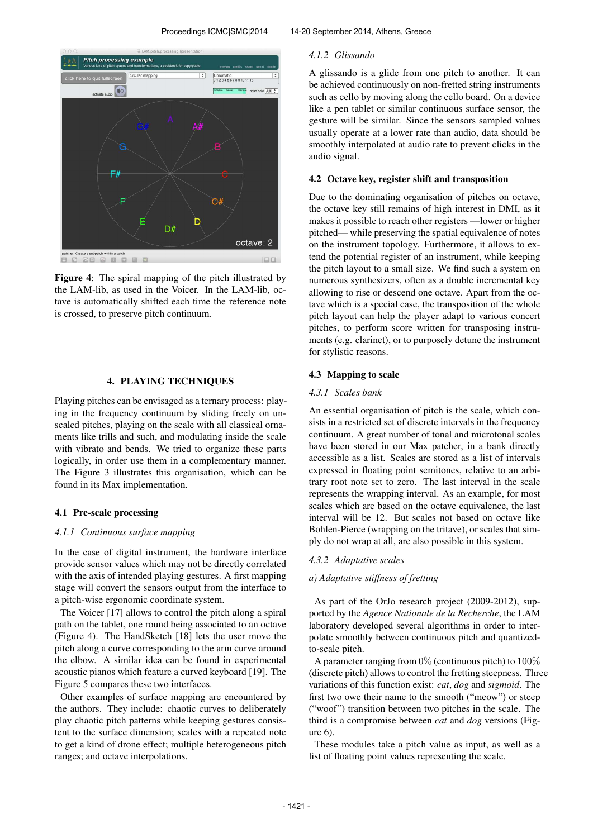

Figure 4: The spiral mapping of the pitch illustrated by the LAM-lib, as used in the Voicer. In the LAM-lib, octave is automatically shifted each time the reference note is crossed, to preserve pitch continuum.

#### 4. PLAYING TECHNIQUES

Playing pitches can be envisaged as a ternary process: playing in the frequency continuum by sliding freely on unscaled pitches, playing on the scale with all classical ornaments like trills and such, and modulating inside the scale with vibrato and bends. We tried to organize these parts logically, in order use them in a complementary manner. The Figure 3 illustrates this organisation, which can be found in its Max implementation.

#### 4.1 Pre-scale processing

#### *4.1.1 Continuous surface mapping*

In the case of digital instrument, the hardware interface provide sensor values which may not be directly correlated with the axis of intended playing gestures. A first mapping stage will convert the sensors output from the interface to a pitch-wise ergonomic coordinate system.

The Voicer [17] allows to control the pitch along a spiral path on the tablet, one round being associated to an octave (Figure 4). The HandSketch [18] lets the user move the pitch along a curve corresponding to the arm curve around the elbow. A similar idea can be found in experimental acoustic pianos which feature a curved keyboard [19]. The Figure 5 compares these two interfaces.

Other examples of surface mapping are encountered by the authors. They include: chaotic curves to deliberately play chaotic pitch patterns while keeping gestures consistent to the surface dimension; scales with a repeated note to get a kind of drone effect; multiple heterogeneous pitch ranges; and octave interpolations.

# *4.1.2 Glissando*

A glissando is a glide from one pitch to another. It can be achieved continuously on non-fretted string instruments such as cello by moving along the cello board. On a device like a pen tablet or similar continuous surface sensor, the gesture will be similar. Since the sensors sampled values usually operate at a lower rate than audio, data should be smoothly interpolated at audio rate to prevent clicks in the audio signal.

# 4.2 Octave key, register shift and transposition

Due to the dominating organisation of pitches on octave, the octave key still remains of high interest in DMI, as it makes it possible to reach other registers —lower or higher pitched— while preserving the spatial equivalence of notes on the instrument topology. Furthermore, it allows to extend the potential register of an instrument, while keeping the pitch layout to a small size. We find such a system on numerous synthesizers, often as a double incremental key allowing to rise or descend one octave. Apart from the octave which is a special case, the transposition of the whole pitch layout can help the player adapt to various concert pitches, to perform score written for transposing instruments (e.g. clarinet), or to purposely detune the instrument for stylistic reasons.

# 4.3 Mapping to scale

#### *4.3.1 Scales bank*

An essential organisation of pitch is the scale, which consists in a restricted set of discrete intervals in the frequency continuum. A great number of tonal and microtonal scales have been stored in our Max patcher, in a bank directly accessible as a list. Scales are stored as a list of intervals expressed in floating point semitones, relative to an arbitrary root note set to zero. The last interval in the scale represents the wrapping interval. As an example, for most scales which are based on the octave equivalence, the last interval will be 12. But scales not based on octave like Bohlen-Pierce (wrapping on the tritave), or scales that simply do not wrap at all, are also possible in this system.

# *4.3.2 Adaptative scales*

# *a) Adaptative stiffness of fretting*

As part of the OrJo research project (2009-2012), supported by the *Agence Nationale de la Recherche*, the LAM laboratory developed several algorithms in order to interpolate smoothly between continuous pitch and quantizedto-scale pitch.

A parameter ranging from  $0\%$  (continuous pitch) to  $100\%$ (discrete pitch) allows to control the fretting steepness. Three variations of this function exist: *cat*, *dog* and *sigmoid*. The first two owe their name to the smooth ("meow") or steep ("woof") transition between two pitches in the scale. The third is a compromise between *cat* and *dog* versions (Fig $ure<sub>6</sub>$ 

These modules take a pitch value as input, as well as a list of floating point values representing the scale.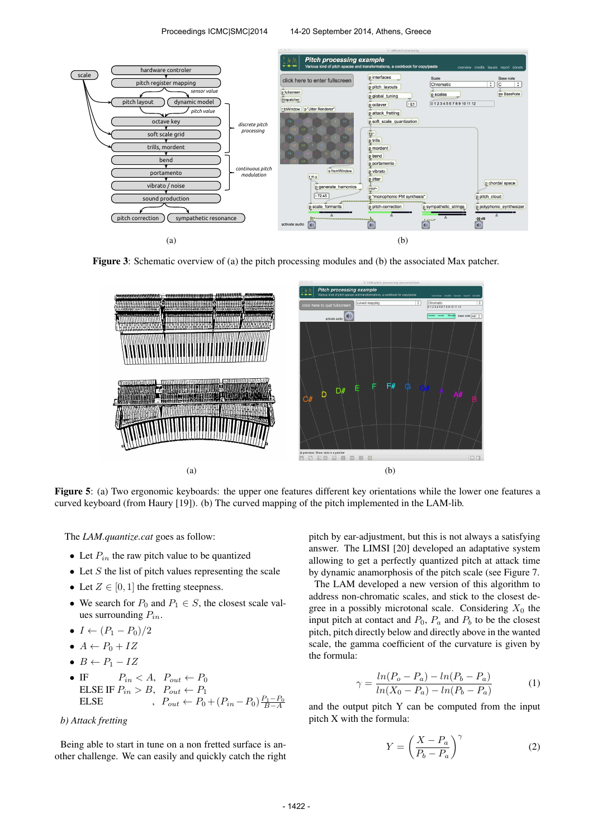

Figure 3: Schematic overview of (a) the pitch processing modules and (b) the associated Max patcher.



Figure 5: (a) Two ergonomic keyboards: the upper one features different key orientations while the lower one features a curved keyboard (from Haury [19]). (b) The curved mapping of the pitch implemented in the LAM-lib.

The *LAM.quantize.cat* goes as follow:

- Let  $P_{in}$  the raw pitch value to be quantized
- Let  $S$  the list of pitch values representing the scale
- Let  $Z \in [0, 1]$  the fretting steepness.
- We search for  $P_0$  and  $P_1 \in S$ , the closest scale values surrounding  $P_{in}$ .
- $I \leftarrow (P_1 P_0)/2$
- $A \leftarrow P_0 + IZ$
- $B \leftarrow P_1 IZ$
- IF  $P_{in} < A$ ,  $P_{out} \leftarrow P_0$ ELSE IF  $P_{in} > B$ ,  $P_{out} \leftarrow P_1$ ELSE ,  $P_{out} \leftarrow P_0 + (P_{in} - P_0) \frac{P_1 - P_0}{B - A}$

# *b) Attack fretting*

Being able to start in tune on a non fretted surface is another challenge. We can easily and quickly catch the right pitch by ear-adjustment, but this is not always a satisfying answer. The LIMSI [20] developed an adaptative system allowing to get a perfectly quantized pitch at attack time by dynamic anamorphosis of the pitch scale (see Figure 7.

The LAM developed a new version of this algorithm to address non-chromatic scales, and stick to the closest degree in a possibly microtonal scale. Considering  $X_0$  the input pitch at contact and  $P_0$ ,  $P_a$  and  $P_b$  to be the closest pitch, pitch directly below and directly above in the wanted scale, the gamma coefficient of the curvature is given by the formula:

$$
\gamma = \frac{\ln(P_o - P_a) - \ln(P_b - P_a)}{\ln(X_0 - P_a) - \ln(P_b - P_a)}\tag{1}
$$

and the output pitch Y can be computed from the input pitch X with the formula:

$$
Y = \left(\frac{X - P_a}{P_b - P_a}\right)^\gamma \tag{2}
$$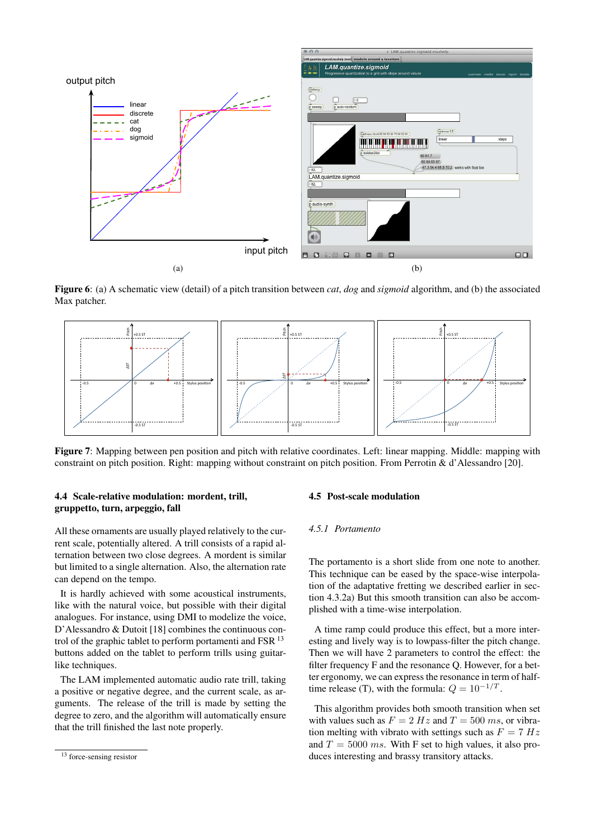

Figure 6: (a) A schematic view (detail) of a pitch transition between *cat*, *dog* and *sigmoid* algorithm, and (b) the associated Max patcher.



Figure 7: Mapping between pen position and pitch with relative coordinates. Left: linear mapping. Middle: mapping with constraint on pitch position. Right: mapping without constraint on pitch position. From Perrotin & d'Alessandro [20].

# 4.4 Scale-relative modulation: mordent, trill, gruppetto, turn, arpeggio, fall

All these ornaments are usually played relatively to the current scale, potentially altered. A trill consists of a rapid alternation between two close degrees. A mordent is similar but limited to a single alternation. Also, the alternation rate can depend on the tempo.

It is hardly achieved with some acoustical instruments, like with the natural voice, but possible with their digital analogues. For instance, using DMI to modelize the voice, D'Alessandro & Dutoit [18] combines the continuous control of the graphic tablet to perform portamenti and FSR  $^{13}$ buttons added on the tablet to perform trills using guitarlike techniques.

The LAM implemented automatic audio rate trill, taking a positive or negative degree, and the current scale, as arguments. The release of the trill is made by setting the degree to zero, and the algorithm will automatically ensure that the trill finished the last note properly.

### 4.5 Post-scale modulation

# *4.5.1 Portamento*

The portamento is a short slide from one note to another. This technique can be eased by the space-wise interpolation of the adaptative fretting we described earlier in section 4.3.2a) But this smooth transition can also be accomplished with a time-wise interpolation.

A time ramp could produce this effect, but a more interesting and lively way is to lowpass-filter the pitch change. Then we will have 2 parameters to control the effect: the filter frequency F and the resonance Q. However, for a better ergonomy, we can express the resonance in term of halftime release (T), with the formula:  $Q = 10^{-1/T}$ .

This algorithm provides both smooth transition when set with values such as  $F = 2 Hz$  and  $T = 500 ms$ , or vibration melting with vibrato with settings such as  $F = 7 Hz$ and  $T = 5000$  ms. With F set to high values, it also produces interesting and brassy transitory attacks.

<sup>&</sup>lt;sup>13</sup> force-sensing resistor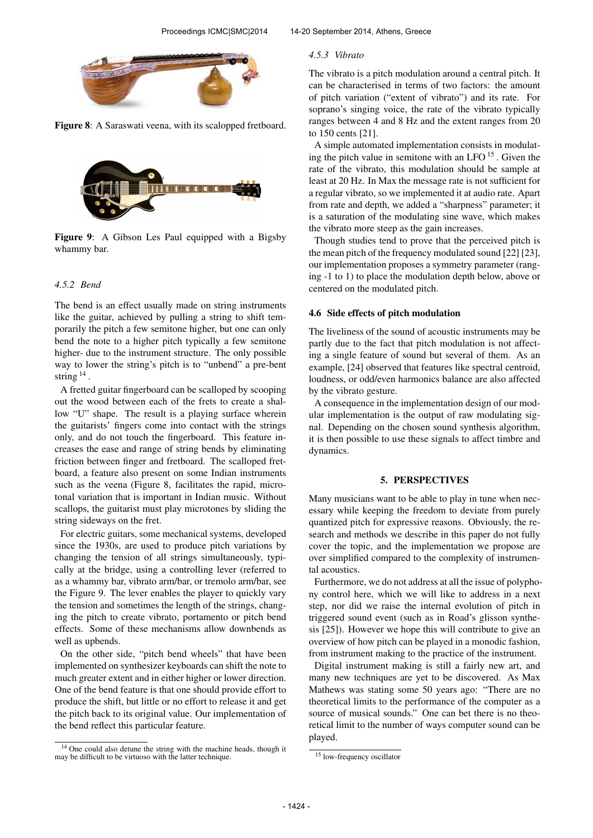

Figure 8: A Saraswati veena, with its scalopped fretboard.



Figure 9: A Gibson Les Paul equipped with a Bigsby whammy bar.

# *4.5.2 Bend*

The bend is an effect usually made on string instruments like the guitar, achieved by pulling a string to shift temporarily the pitch a few semitone higher, but one can only bend the note to a higher pitch typically a few semitone higher- due to the instrument structure. The only possible way to lower the string's pitch is to "unbend" a pre-bent string <sup>14</sup>.

A fretted guitar fingerboard can be scalloped by scooping out the wood between each of the frets to create a shallow "U" shape. The result is a playing surface wherein the guitarists' fingers come into contact with the strings only, and do not touch the fingerboard. This feature increases the ease and range of string bends by eliminating friction between finger and fretboard. The scalloped fretboard, a feature also present on some Indian instruments such as the veena (Figure 8, facilitates the rapid, microtonal variation that is important in Indian music. Without scallops, the guitarist must play microtones by sliding the string sideways on the fret.

For electric guitars, some mechanical systems, developed since the 1930s, are used to produce pitch variations by changing the tension of all strings simultaneously, typically at the bridge, using a controlling lever (referred to as a whammy bar, vibrato arm/bar, or tremolo arm/bar, see the Figure 9. The lever enables the player to quickly vary the tension and sometimes the length of the strings, changing the pitch to create vibrato, portamento or pitch bend effects. Some of these mechanisms allow downbends as well as upbends.

On the other side, "pitch bend wheels" that have been implemented on synthesizer keyboards can shift the note to much greater extent and in either higher or lower direction. One of the bend feature is that one should provide effort to produce the shift, but little or no effort to release it and get the pitch back to its original value. Our implementation of the bend reflect this particular feature.

### *4.5.3 Vibrato*

The vibrato is a pitch modulation around a central pitch. It can be characterised in terms of two factors: the amount of pitch variation ("extent of vibrato") and its rate. For soprano's singing voice, the rate of the vibrato typically ranges between 4 and 8 Hz and the extent ranges from 20 to 150 cents [21].

A simple automated implementation consists in modulating the pitch value in semitone with an LFO <sup>15</sup>. Given the rate of the vibrato, this modulation should be sample at least at 20 Hz. In Max the message rate is not sufficient for a regular vibrato, so we implemented it at audio rate. Apart from rate and depth, we added a "sharpness" parameter; it is a saturation of the modulating sine wave, which makes the vibrato more steep as the gain increases.

Though studies tend to prove that the perceived pitch is the mean pitch of the frequency modulated sound [22] [23], our implementation proposes a symmetry parameter (ranging -1 to 1) to place the modulation depth below, above or centered on the modulated pitch.

# 4.6 Side effects of pitch modulation

The liveliness of the sound of acoustic instruments may be partly due to the fact that pitch modulation is not affecting a single feature of sound but several of them. As an example, [24] observed that features like spectral centroid, loudness, or odd/even harmonics balance are also affected by the vibrato gesture.

A consequence in the implementation design of our modular implementation is the output of raw modulating signal. Depending on the chosen sound synthesis algorithm, it is then possible to use these signals to affect timbre and dynamics.

#### 5. PERSPECTIVES

Many musicians want to be able to play in tune when necessary while keeping the freedom to deviate from purely quantized pitch for expressive reasons. Obviously, the research and methods we describe in this paper do not fully cover the topic, and the implementation we propose are over simplified compared to the complexity of instrumental acoustics.

Furthermore, we do not address at all the issue of polyphony control here, which we will like to address in a next step, nor did we raise the internal evolution of pitch in triggered sound event (such as in Road's glisson synthesis [25]). However we hope this will contribute to give an overview of how pitch can be played in a monodic fashion, from instrument making to the practice of the instrument.

Digital instrument making is still a fairly new art, and many new techniques are yet to be discovered. As Max Mathews was stating some 50 years ago: "There are no theoretical limits to the performance of the computer as a source of musical sounds." One can bet there is no theoretical limit to the number of ways computer sound can be played.

<sup>&</sup>lt;sup>14</sup> One could also detune the string with the machine heads, though it may be difficult to be virtuoso with the latter technique.

<sup>15</sup> low-frequency oscillator